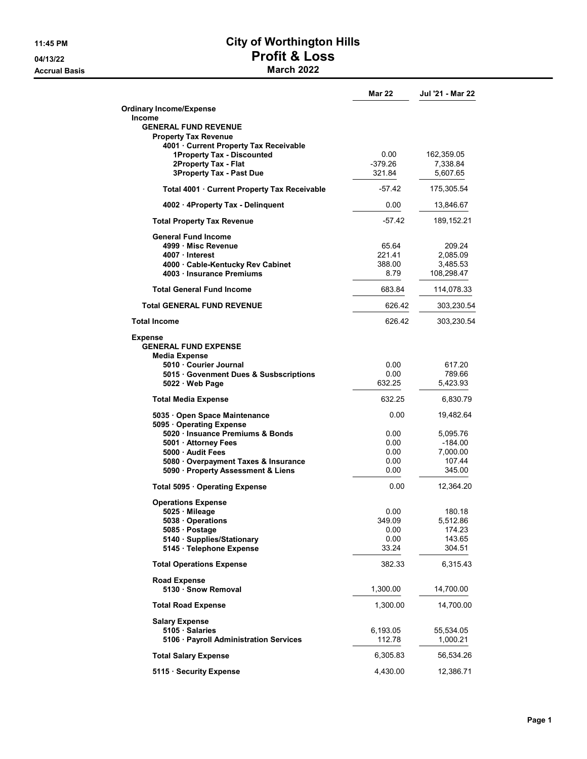**Accrual Basis** 

## 11:45 PM City of Worthington Hills 04/13/22<br>
Accrual Basis<br>
Accrual Basis<br>
March 2022

|                                                              | Mar 22       | Jul '21 - Mar 22      |
|--------------------------------------------------------------|--------------|-----------------------|
| <b>Ordinary Income/Expense</b>                               |              |                       |
| <b>Income</b>                                                |              |                       |
| <b>GENERAL FUND REVENUE</b><br><b>Property Tax Revenue</b>   |              |                       |
| 4001 Current Property Tax Receivable                         |              |                       |
| 1Property Tax - Discounted                                   | 0.00         | 162,359.05            |
| 2Property Tax - Flat                                         | $-379.26$    | 7,338.84              |
| <b>3Property Tax - Past Due</b>                              | 321.84       | 5,607.65              |
| Total 4001 · Current Property Tax Receivable                 | $-57.42$     | 175,305.54            |
| 4002 · 4Property Tax - Delinguent                            | 0.00         | 13,846.67             |
| <b>Total Property Tax Revenue</b>                            | -57.42       | 189,152.21            |
| <b>General Fund Income</b>                                   |              |                       |
| 4999 Misc Revenue                                            | 65.64        | 209.24                |
| 4007 Interest                                                | 221.41       | 2,085.09              |
| 4000 Cable-Kentucky Rev Cabinet                              | 388.00       | 3,485.53              |
| 4003 Insurance Premiums                                      | 8.79         | 108,298.47            |
| <b>Total General Fund Income</b>                             | 683.84       | 114,078.33            |
| <b>Total GENERAL FUND REVENUE</b>                            | 626.42       | 303,230.54            |
| <b>Total Income</b>                                          | 626.42       | 303,230.54            |
| <b>Expense</b>                                               |              |                       |
| <b>GENERAL FUND EXPENSE</b>                                  |              |                       |
| Media Expense                                                |              |                       |
| 5010 Courier Journal<br>5015 Govenment Dues & Susbscriptions | 0.00<br>0.00 | 617.20<br>789.66      |
| 5022 Web Page                                                | 632.25       | 5,423.93              |
|                                                              |              |                       |
| <b>Total Media Expense</b>                                   | 632.25       | 6,830.79              |
| 5035 · Open Space Maintenance<br>5095 Operating Expense      | 0.00         | 19,482.64             |
| 5020 · Insuance Premiums & Bonds                             | 0.00         | 5,095.76              |
| 5001 Attorney Fees                                           | 0.00         | $-184.00$             |
| 5000 Audit Fees                                              | 0.00         | 7,000.00              |
| 5080 Overpayment Taxes & Insurance                           | 0.00         | 107.44                |
| 5090 · Property Assessment & Liens                           | 0.00         | 345.00                |
| Total 5095 · Operating Expense                               | 0.00         | 12,364.20             |
| <b>Operations Expense</b>                                    |              |                       |
| 5025 Mileage                                                 | 0.00         | 180.18                |
| 5038 Operations                                              | 349.09       | 5,512.86              |
| 5085 Postage                                                 | 0.00         | 174.23                |
| 5140 · Supplies/Stationary                                   | 0.00         | 143.65                |
| 5145 · Telephone Expense                                     | 33.24        | 304.51                |
| <b>Total Operations Expense</b>                              | 382.33       | 6,315.43              |
| <b>Road Expense</b><br>5130 · Snow Removal                   | 1,300.00     | 14,700.00             |
|                                                              |              |                       |
| <b>Total Road Expense</b>                                    | 1,300.00     | 14,700.00             |
| <b>Salary Expense</b>                                        | 6,193.05     |                       |
| 5105 Salaries<br>5106 · Payroll Administration Services      | 112.78       | 55,534.05<br>1,000.21 |
|                                                              |              |                       |
| <b>Total Salary Expense</b>                                  | 6,305.83     | 56,534.26             |
| 5115 · Security Expense                                      | 4,430.00     | 12,386.71             |